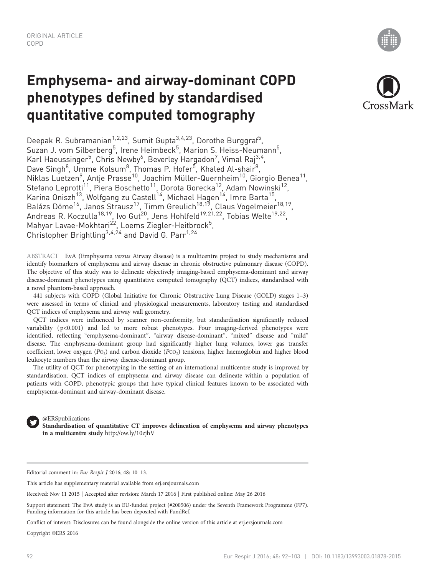# Emphysema- and airway-dominant COPD phenotypes defined by standardised quantitative computed tomography

Deepak R. Subramanian<sup>1,2,23</sup>, Sumit Gupta<sup>3,4,23</sup>, Dorothe Burggraf<sup>5</sup>, Suzan J. vom Silberberg<sup>5</sup>, Irene Heimbeck<sup>5</sup>, Marion S. Heiss-Neumann<sup>5</sup>, Karl Haeussinger<sup>5</sup>, Chris Newby<sup>6</sup>, Beverley Hargadon<sup>7</sup>, Vimal Raj<sup>3,4</sup>, Dave Singh<sup>8</sup>, Umme Kolsum<sup>8</sup>, Thomas P. Hofer<sup>5</sup>, Khaled Al-shair<sup>8</sup>, Niklas Luetzen<sup>9</sup>, Antje Prasse<sup>10</sup>, Joachim Müller-Quernheim<sup>10</sup>, Giorgio Benea<sup>11</sup>, Stefano Leprotti<sup>11</sup>, Piera Boschetto<sup>11</sup>, Dorota Gorecka<sup>12</sup>, Adam Nowinski<sup>12</sup>, Karina Oniszh<sup>13</sup>, Wolfgang zu Castell<sup>14</sup>, Michael Hagen<sup>14</sup>, Imre Barta<sup>15</sup>, Balázs Döme<sup>16</sup>, Janos Strausz<sup>17</sup>, Timm Greulich<sup>18,19</sup>, Claus Vogelmeier<sup>18,19</sup>, Andreas R. Koczulla<sup>18,19</sup>, Ivo Gut<sup>20</sup>, Jens Hohlfeld<sup>19,21,22</sup>, Tobias Welte<sup>19,22</sup>, Mahyar Lavae-Mokhtari<sup>22</sup>, Loems Ziegler-Heitbrock<sup>5</sup>, Christopher Brightling<sup>3,4,24</sup> and David G. Parr<sup>1,24</sup>

ABSTRACT EvA (Emphysema versus Airway disease) is a multicentre project to study mechanisms and identify biomarkers of emphysema and airway disease in chronic obstructive pulmonary disease (COPD). The objective of this study was to delineate objectively imaging-based emphysema-dominant and airway disease-dominant phenotypes using quantitative computed tomography (QCT) indices, standardised with a novel phantom-based approach.

441 subjects with COPD (Global Initiative for Chronic Obstructive Lung Disease (GOLD) stages 1–3) were assessed in terms of clinical and physiological measurements, laboratory testing and standardised QCT indices of emphysema and airway wall geometry.

QCT indices were influenced by scanner non-conformity, but standardisation significantly reduced variability ( p<0.001) and led to more robust phenotypes. Four imaging-derived phenotypes were identified, reflecting "emphysema-dominant", "airway disease-dominant", "mixed" disease and "mild" disease. The emphysema-dominant group had significantly higher lung volumes, lower gas transfer coefficient, lower oxygen (PO<sub>2</sub>) and carbon dioxide (PCO<sub>2</sub>) tensions, higher haemoglobin and higher blood leukocyte numbers than the airway disease-dominant group.

The utility of QCT for phenotyping in the setting of an international multicentre study is improved by standardisation. QCT indices of emphysema and airway disease can delineate within a population of patients with COPD, phenotypic groups that have typical clinical features known to be associated with emphysema-dominant and airway-dominant disease.

@ERSpublications Standardisation of quantitative CT improves delineation of emphysema and airway phenotypes in a multicentre study <http://ow.ly/10zjhV>

Editorial comment in: Eur Respir J 2016; 48: 10–13.

This article has supplementary material available from<erj.ersjournals.com>

Received: Nov 11 2015 | Accepted after revision: March 17 2016 | First published online: May 26 2016

Support statement: The EvA study is an EU-funded project (#200506) under the Seventh Framework Programme (FP7). Funding information for this article has been deposited with [FundRef.](http://www.crossref.org/fundref/)

Conflict of interest: Disclosures can be found alongside the online version of this article at<erj.ersjournals.com>

Copyright ©ERS 2016

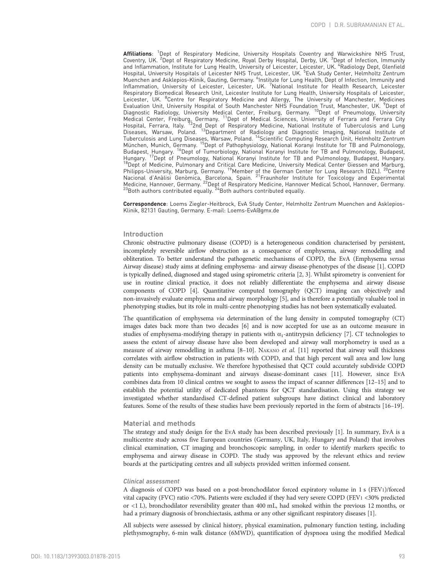Affiliations: <sup>1</sup>Dept of Respiratory Medicine, University Hospitals Coventry and Warwickshire NHS Trust, Coventry, UK. <sup>2</sup>Dept of Respiratory Medicine, Royal Derby Hospital, Derby, UK. <sup>3</sup>Dept of Infection, Immunity and Inflammation, Institute for Lung Health, University of Leicester, Leicester, UK. <sup>4</sup>Radiology Dept, Glenfield Hospital, University Hospitals of Leicester NHS Trust, Leicester, UK. <sup>5</sup> EvA Study Center, Helmholtz Zentrum Muenchen and Asklepios-Klinik, Gauting, Germany. <sup>6</sup>Institute for Lung Health, Dept of Infection, Immunity and Inflammation, University of Leicester, Leicester, UK. <sup>7</sup>National Institute for Health Research, Leicester Respiratory Biomedical Research Unit, Leicester Institute for Lung Health, University Hospitals of Leicester, Leicester, UK. <sup>8</sup>Centre for Respiratory Medicine and Allergy, The University of Manchester, Medicines<br>Evaluation Unit, University Hospital of South Manchester NHS Foundation Trust, Manchester, UK. <sup>9</sup>Dept of<br>Diagnostic Ra Medical Center, Freiburg, Germany. <sup>11</sup>Dept of Medical Sciences, University of Ferrara and Ferrara City Hospital, Ferrara, Italy. <sup>12</sup>2nd Dept of Respiratory Medicine, National Institute of Tuberculosis and Lung Diseases, Warsaw, Poland. <sup>13</sup>Department of Radiology and Diagnostic Imaging, National Institute of Tuberculosis and Lung Diseases, Warsaw, Poland. 14Scientific Computing Research Unit, Helmholtz Zentrum München, Munich, Germany. 15Dept of Pathophysiology, National Koranyi Institute for TB and Pulmonology, Budapest, Hungary. <sup>16</sup>Dept of Tumorbiology, National Koranyi Institute for TB and Pulmonology, Budapest, Hungary. 17Dept of Pneumology, National Koranyi Institute for TB and Pulmonology, Budapest, Hungary.<br>Hungary. <sup>17</sup>Dept of Pneumology, National Koranyi Institute for TB and Pulmonology, Budapest, Hungary.<br><sup>18</sup>Dept of Medici Philipps-University, Marburg, Germany. <sup>19</sup>Member of the German Center for Lung Research (DZL). <sup>20</sup>Centre Nacional d'Anàlisi Genòmica, Barcelona, Spain. 21Fraunhofer Institute for Toxicology and Experimental Medicine, Hannover, Germany. <sup>22</sup>Dept of Respiratory Medicine, Hannover Medical School, Hannover, Germany.<br><sup>23</sup>Both authors contributed equally. <sup>24</sup>Both authors contributed equally.

Correspondence: Loems Ziegler-Heitbrock, EvA Study Center, Helmholtz Zentrum Muenchen and Asklepios-Klinik, 82131 Gauting, Germany. E-mail: [Loems-EvA@gmx.de](mailto:Loems-EvA@gmx.de)

#### Introduction

Chronic obstructive pulmonary disease (COPD) is a heterogeneous condition characterised by persistent, incompletely reversible airflow obstruction as a consequence of emphysema, airway remodelling and obliteration. To better understand the pathogenetic mechanisms of COPD, the EvA (Emphysema versus Airway disease) study aims at defining emphysema- and airway disease-phenotypes of the disease [[1](#page-10-0)]. COPD is typically defined, diagnosed and staged using spirometric criteria [\[2, 3](#page-10-0)]. Whilst spirometry is convenient for use in routine clinical practice, it does not reliably differentiate the emphysema and airway disease components of COPD [\[4](#page-10-0)]. Quantitative computed tomography (QCT) imaging can objectively and non-invasively evaluate emphysema and airway morphology [[5](#page-10-0)], and is therefore a potentially valuable tool in phenotyping studies, but its role in multi-centre phenotyping studies has not been systematically evaluated.

The quantification of emphysema via determination of the lung density in computed tomography (CT) images dates back more than two decades [\[6](#page-10-0)] and is now accepted for use as an outcome measure in studies of emphysema-modifying therapy in patients with  $\alpha_1$ -antitrypsin deficiency [\[7\]](#page-10-0). CT technologies to assess the extent of airway disease have also been developed and airway wall morphometry is used as a measure of airway remodelling in asthma [\[8](#page-10-0)-[10\]](#page-10-0). NAKANO et al. [\[11\]](#page-11-0) reported that airway wall thickness correlates with airflow obstruction in patients with COPD, and that high percent wall area and low lung density can be mutually exclusive. We therefore hypothesised that QCT could accurately subdivide COPD patients into emphysema-dominant and airways disease-dominant cases [[11](#page-11-0)]. However, since EvA combines data from 10 clinical centres we sought to assess the impact of scanner differences [[12](#page-11-0)–[15](#page-11-0)] and to establish the potential utility of dedicated phantoms for QCT standardisation. Using this strategy we investigated whether standardised CT-defined patient subgroups have distinct clinical and laboratory features. Some of the results of these studies have been previously reported in the form of abstracts [\[16](#page-11-0)–[19\]](#page-11-0).

### Material and methods

The strategy and study design for the EvA study has been described previously [\[1\]](#page-10-0). In summary, EvA is a multicentre study across five European countries (Germany, UK, Italy, Hungary and Poland) that involves clinical examination, CT imaging and bronchoscopic sampling, in order to identify markers specific to emphysema and airway disease in COPD. The study was approved by the relevant ethics and review boards at the participating centres and all subjects provided written informed consent.

#### Clinical assessment

A diagnosis of COPD was based on a post-bronchodilator forced expiratory volume in 1 s (FEV1)/forced vital capacity (FVC) ratio <70%. Patients were excluded if they had very severe COPD (FEV1 <30% predicted or <1 L), bronchodilator reversibility greater than 400 mL, had smoked within the previous 12 months, or had a primary diagnosis of bronchiectasis, asthma or any other significant respiratory diseases [[1](#page-10-0)].

All subjects were assessed by clinical history, physical examination, pulmonary function testing, including plethysmography, 6-min walk distance (6MWD), quantification of dyspnoea using the modified Medical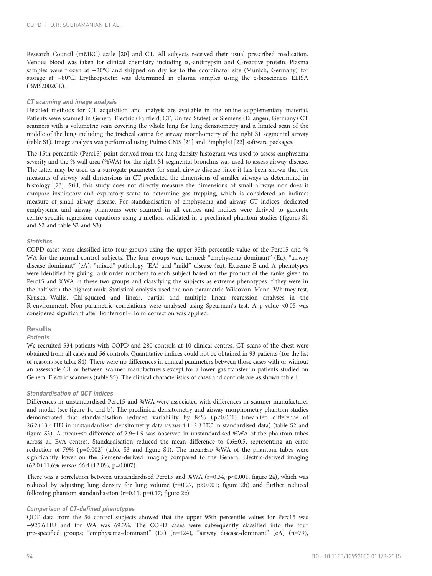Research Council (mMRC) scale [\[20](#page-11-0)] and CT. All subjects received their usual prescribed medication. Venous blood was taken for clinical chemistry including  $\alpha_1$ -antitrypsin and C-reactive protein. Plasma samples were frozen at −20°C and shipped on dry ice to the coordinator site (Munich, Germany) for storage at −80°C. Erythropoietin was determined in plasma samples using the e-biosciences ELISA (BMS2002CE).

#### CT scanning and image analysis

Detailed methods for CT acquisition and analysis are available in the online supplementary material. Patients were scanned in General Electric (Fairfield, CT, United States) or Siemens (Erlangen, Germany) CT scanners with a volumetric scan covering the whole lung for lung densitometry and a limited scan of the middle of the lung including the tracheal carina for airway morphometry of the right S1 segmental airway (table S1). Image analysis was performed using Pulmo CMS [\[21](#page-11-0)] and EmphylxJ [[22](#page-11-0)] software packages.

The 15th percentile (Perc15) point derived from the lung density histogram was used to assess emphysema severity and the % wall area (%WA) for the right S1 segmental bronchus was used to assess airway disease. The latter may be used as a surrogate parameter for small airway disease since it has been shown that the measures of airway wall dimensions in CT predicted the dimensions of smaller airways as determined in histology [[23](#page-11-0)]. Still, this study does not directly measure the dimensions of small airways nor does it compare inspiratory and expiratory scans to determine gas trapping, which is considered an indirect measure of small airway disease. For standardisation of emphysema and airway CT indices, dedicated emphysema and airway phantoms were scanned in all centres and indices were derived to generate centre-specific regression equations using a method validated in a preclinical phantom studies (figures S1 and S2 and table S2 and S3).

## **Statistics**

COPD cases were classified into four groups using the upper 95th percentile value of the Perc15 and % WA for the normal control subjects. The four groups were termed: "emphysema dominant" (Ea), "airway disease dominant" (eA), "mixed" pathology (EA) and "mild" disease (ea). Extreme E and A phenotypes were identified by giving rank order numbers to each subject based on the product of the ranks given to Perc15 and %WA in these two groups and classifying the subjects as extreme phenotypes if they were in the half with the highest rank. Statistical analysis used the non-parametric Wilcoxon–Mann–Whitney test, Kruskal–Wallis, Chi-squared and linear, partial and multiple linear regression analyses in the R-environment. Non-parametric correlations were analysed using Spearman's test. A p-value <0.05 was considered significant after Bonferroni–Holm correction was applied.

## Results

#### **Patients**

We recruited 534 patients with COPD and 280 controls at 10 clinical centres. CT scans of the chest were obtained from all cases and 56 controls. Quantitative indices could not be obtained in 93 patients (for the list of reasons see table S4). There were no differences in clinical parameters between those cases with or without an assessable CT or between scanner manufacturers except for a lower gas transfer in patients studied on General Electric scanners (table S5). The clinical characteristics of cases and controls are as shown [table 1](#page-3-0).

## Standardisation of QCT indices

Differences in unstandardised Perc15 and %WA were associated with differences in scanner manufacturer and model (see [figure 1a](#page-4-0) and [b](#page-4-0)). The preclinical densitometry and airway morphometry phantom studies demonstrated that standardisation reduced variability by 84% (p<0.001) (mean±sp difference of 26.2±13.4 HU in unstandardised densitometry data versus 4.1±2.3 HU in standardised data) (table S2 and figure S3). A mean±sp difference of 2.9±1.9 was observed in unstandardised %WA of the phantom tubes across all EvA centres. Standardisation reduced the mean difference to 0.6±0.5, representing an error reduction of 79% ( $p=0.002$ ) (table S3 and figure S4). The mean±sp %WA of the phantom tubes were significantly lower on the Siemens-derived imaging compared to the General Electric-derived imaging (62.0±11.6% versus 66.4±12.0%; p=0.007).

There was a correlation between unstandardised Perc15 and %WA (r=0.34, p<0.001; [figure 2a](#page-5-0)), which was reduced by adjusting lung density for lung volume (r=0.27, p<0.001; [figure 2b](#page-5-0)) and further reduced following phantom standardisation ( $r=0.11$ ,  $p=0.17$ ; [figure 2c\)](#page-5-0).

#### Comparison of CT-defined phenotypes

QCT data from the 56 control subjects showed that the upper 95th percentile values for Perc15 was −925.6 HU and for WA was 69.3%. The COPD cases were subsequently classified into the four pre-specified groups; "emphysema-dominant" (Ea) (n=124), "airway disease-dominant" (eA) (n=79),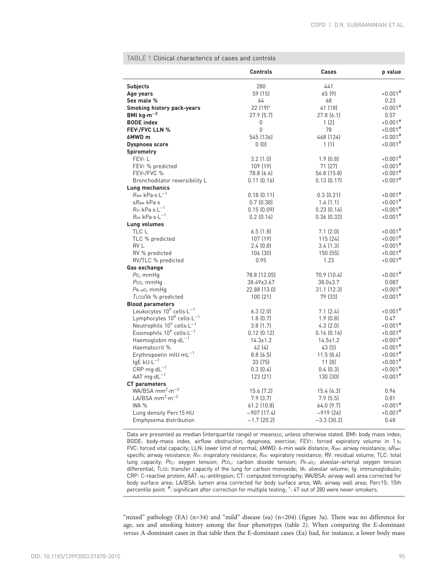|                                                   | <b>Controls</b>      | Cases           | p value              |
|---------------------------------------------------|----------------------|-----------------|----------------------|
| <b>Subjects</b>                                   | 280                  | 441             |                      |
| Age years                                         | 59 (15)              | 65 (9)          | $0.001$ <sup>#</sup> |
| Sex male %                                        | 64                   | 68              | 0.23                 |
| <b>Smoking history pack-years</b>                 | 22 (19) <sup>+</sup> | 41 (18)         | $0.001$ <sup>#</sup> |
| BMI $kg·m-2$                                      | 27.9 (5.7)           | 27.8(6.1)       | 0.57                 |
| <b>BODE</b> index                                 | 0                    | 1(2)            | $0.001$ <sup>#</sup> |
| <b>FEV1/FVC LLN %</b>                             | 0                    | 78              | $0.001$ <sup>#</sup> |
| 6MWD m                                            | 545 (136)            | 468 [124]       | $0.001$ <sup>#</sup> |
| Dyspnoea score                                    | 0(0)                 | 1(1)            | $0.001$ <sup>#</sup> |
| <b>Spirometry</b>                                 |                      |                 |                      |
| FEV <sub>1</sub> L                                | $3.2$ $(1.0)$        | $1.9$ $(0.8)$   | $0.001$ <sup>#</sup> |
| FEV <sub>1</sub> % predicted                      | 109 (19)             | 71 (27)         | $0.001$ <sup>#</sup> |
| FEV1/FVC %                                        | 78.8 (6.6)           | 56.8 (15.8)     | $0.001$ <sup>#</sup> |
| Bronchodilator reversibility L                    | $0.11$ $(0.16)$      | 0.13(0.17)      | $0.001$ <sup>#</sup> |
| Lung mechanics                                    |                      |                 |                      |
| $R$ aw k $Pa·s·L^{-1}$                            | 0.18(0.11)           | 0.3(0.21)       | $0.001$ <sup>#</sup> |
| $s$ Raw kPa $\cdot$ s                             | 0.7(0.38)            | 1.4(1.1)        | $0.001$ <sup>#</sup> |
| $R$ in kPa·s·L <sup>-1</sup>                      | 0.15(0.09)           | 0.23(0.14)      | $0.001$ <sup>#</sup> |
| $R$ ex kPa·s·L <sup>-1</sup>                      | 0.2(0.14)            | 0.36(0.32)      | $0.001$ <sup>#</sup> |
| Lung volumes                                      |                      |                 |                      |
| TLC L                                             | 6.5(1.8)             | 7.1(2.0)        | $0.001$ <sup>#</sup> |
| TLC % predicted                                   | 107 (19)             | 115 (24)        | $0.001$ <sup>#</sup> |
| RV L                                              | 2.4(0.8)             | 3.4(1.3)        | $0.001$ <sup>#</sup> |
| RV % predicted                                    | 106 (30)             | 150(55)         | $0.001$ <sup>#</sup> |
| RV/TLC % predicted                                | 0.95                 | 1.23            | $0.001$ <sup>#</sup> |
| Gas exchange                                      |                      |                 |                      |
| $P_0$ <sub>2</sub> mmHg                           | 78.8 (12.05)         | 70.9 (10.4)     | $0.001$ <sup>#</sup> |
| $P_{C_2}$ mmHq                                    | 38.49±3.67           | $38.0 \pm 3.7$  | 0.087                |
| $PA-a02$ mmHq                                     | 22.88 (13.0)         | $31.1$ $(12.3)$ | $0.001$ <sup>#</sup> |
| TLCO/VA % predicted                               | 100(21)              | 79 (33)         | $0.001$ <sup>#</sup> |
| <b>Blood parameters</b>                           |                      |                 |                      |
| Leukocytes $10^9$ cells $\cdot L^{-1}$            | $6.3$ $(2.0)$        | 7.1(2.4)        | $0.001$ <sup>#</sup> |
| Lymphocytes $10^9$ cells $\cdot L^{-1}$           | 1.8(0.7)             | 1.9(0.8)        | 0.47                 |
| Neutrophils 10 <sup>9</sup> cells-L <sup>-1</sup> | 3.8(1.7)             | 4.3(2.0)        | $0.001$ <sup>#</sup> |
| Eosinophils $10^9$ cells $-L^{-1}$                | $0.12$ $(0.12)$      | $0.16$ $(0.16)$ | $0.001$ <sup>#</sup> |
| Haemoglobin $mg \cdot dL^{-1}$                    | $14.3 \pm 1.2$       | $14.5 \pm 1.2$  | $0.001$ <sup>#</sup> |
| Haematocrit %                                     | 42 (4)               | 43 (5)          | $0.001$ <sup>#</sup> |
| Erythropoetin mIU·mL <sup>-1</sup>                | 8.8(6.5)             | 11.5(8.4)       | $0.001$ <sup>#</sup> |
| $lgE$ kU $\cdot L^{-1}$                           | 33 (75)              | 11 (8)          | $0.001$ <sup>#</sup> |
| $CRP$ mg·d $L^{-1}$                               | 0.3(0.4)             | 0.4(0.3)        | $0.001$ <sup>#</sup> |
| AAT $mg \cdot dL^{-1}$                            | 123 (21)             | 130 (30)        | $0.001$ <sup>#</sup> |
| <b>CT</b> parameters                              |                      |                 |                      |
| WA/BSA $mm^2\cdot m^{-2}$                         | 15.6 (7.2)           | 15.4(6.3)       | 0.94                 |
| LA/BSA mm <sup>2</sup> $\cdot$ m <sup>-2</sup>    | 7.9(3.7)             | 7.9(5.5)        | 0.81                 |
| <b>WA %</b>                                       | 61.2 (10.8)          | 64.0 (9.7)      | $0.001$ <sup>#</sup> |
| Lung density Perc15 HU                            | $-907(17.4)$         | $-919(26)$      | $0.001$ <sup>#</sup> |
| Emphysema distribution                            | $-1.7$ (20.2)        | $-3.3$ (30.2)   | 0.48                 |

<span id="page-3-0"></span>TABLE 1 Clinical characterics of cases and controls

Data are presented as median (interquartile range) or mean±sD, unless otherwise stated. BMI: body mass index; BODE: body-mass index, airflow obstruction, dyspnoea, exercise; FEV1: forced expiratory volume in 1 s; FVC: forced vital capacity; LLN: lower limit of normal; 6MWD: 6-min walk distance; Raw: airway resistance; sRaw: specific airway resistance; Rin: inspiratory resistance; Rex: expiratory resistance; RV: residual volume; TLC: total lung capacity; Po<sub>2</sub>: oxygen tension; Pco<sub>2</sub>: carbon dioxide tension; PA-aO<sub>2</sub>: alveolar-arterial oxygen tension differential; TLCO: transfer capacity of the lung for carbon monoxide; VA: alveolar volume; Ig: immunoglobulin; CRP: C-reactive protein; AAT: α1-antitrypsin; CT: computed tomography; WA/BSA: airway wall area corrected for body surface area; LA/BSA: lumen area corrected for body surface area; WA: airway wall area; Perc15: 15th percentile point. <sup>#</sup>: significant after correction for multiple testing; <sup>+</sup>: 47 out of 280 were never-smokers.

"mixed" pathology (EA) (n=34) and "mild" disease (ea) (n=204) [\(figure 3a](#page-5-0)). There was no difference for age, sex and smoking history among the four phenotypes ([table 2](#page-6-0)). When comparing the E-dominant versus A-dominant cases in that table then the E-dominant cases (Ea) had, for instance, a lower body mass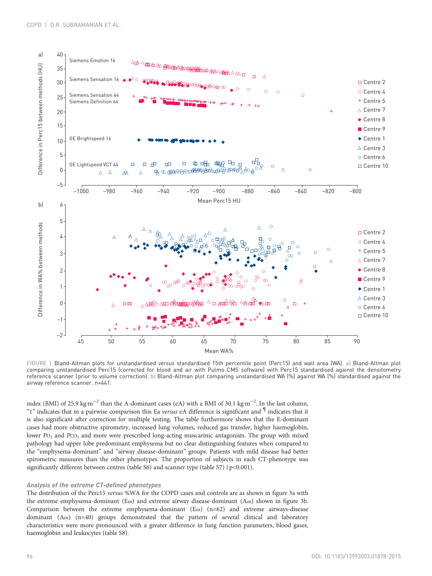<span id="page-4-0"></span>

FIGURE 1 Bland-Altman plots for unstandardised versus standardised 15th percentile point (Perc15) and wall area (WA). a) Bland-Altman plot comparing unstandardised Perc15 (corrected for blood and air with Pulmo CMS software) with Perc15 standardised against the densitometry reference scanner (prior to volume correction). b) Bland-Altman plot comparing unstandardised WA (%) against WA (%) standardised against the airway reference scanner. n=441.

index (BMI) of 25.9 kg·m−<sup>2</sup> than the A-dominant cases (eA) with a BMI of 30.1 kg·m−<sup>2</sup> . In the last column, "1" indicates that in a pairwise comparison this Ea *versus* eA difference is significant and  $\mathbb{I}$  indicates that it is also significant after correction for multiple testing. The table furthermore shows that the E-dominant cases had more obstructive spirometry, increased lung volumes, reduced gas transfer, higher haemoglobin, lower P<sub>O<sub>2</sub></sub> and P<sub>CO<sub>2</sub></sub> and more were prescribed long-acting muscarinic antagonists. The group with mixed pathology had upper lobe predominant emphysema but no clear distinguishing features when compared to the "emphysema-dominant" and "airway disease-dominant" groups. Patients with mild disease had better spirometric measures than the other phenotypes. The proportion of subjects in each CT-phenotype was significantly different between centres (table S6) and scanner type (table S7) (p<0.001).

# Analysis of the extreme CT-defined phenotypes

The distribution of the Perc15 versus %WA for the COPD cases and controls are as shown in [figure 3a](#page-5-0) with the extreme emphysema-dominant (Eex) and extreme airway disease-dominant (Aex) shown in [figure 3b](#page-5-0). Comparison between the extreme emphysema-dominant (Eex) (n=62) and extreme airways-disease dominant (Aex) (n=40) groups demonstrated that the pattern of several clinical and laboratory characteristics were more pronounced with a greater difference in lung function parameters, blood gases, haemoglobin and leukocytes (table S8).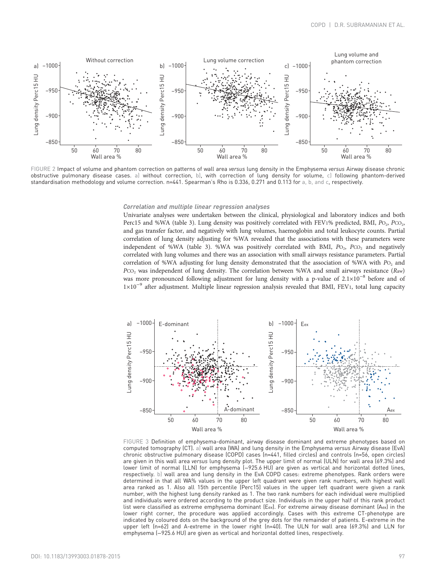<span id="page-5-0"></span>

FIGURE 2 Impact of volume and phantom correction on patterns of wall area versus lung density in the Emphysema versus Airway disease chronic obstructive pulmonary disease cases. a) without correction, b), with correction of lung density for volume, c) following phantom-derived standardisation methodology and volume correction. n=441. Spearman's Rho is 0.336, 0.271 and 0.113 for a, b, and c, respectively.

#### Correlation and multiple linear regression analyses

Univariate analyses were undertaken between the clinical, physiological and laboratory indices and both Perc15 and %WA ([table 3\)](#page-7-0). Lung density was positively correlated with FEV1% predicted, BMI,  $P_{\text{O}_2}$ ,  $P_{\text{CO}_2}$ , and gas transfer factor, and negatively with lung volumes, haemoglobin and total leukocyte counts. Partial correlation of lung density adjusting for %WA revealed that the associations with these parameters were independent of %WA ([table 3](#page-7-0)). %WA was positively correlated with BMI,  $P_{\text{O}_2}$ ,  $P_{\text{CO}_2}$  and negatively correlated with lung volumes and there was an association with small airways resistance parameters. Partial correlation of %WA adjusting for lung density demonstrated that the association of %WA with Po<sub>2</sub> and PCO<sub>2</sub> was independent of lung density. The correlation between %WA and small airways resistance (Raw) was more pronounced following adjustment for lung density with a p-value of 2.1×10<sup>-8</sup> before and of 1×10−<sup>9</sup> after adjustment. Multiple linear regression analysis revealed that BMI, FEV1, total lung capacity



FIGURE 3 Definition of emphysema-dominant, airway disease dominant and extreme phenotypes based on computed tomography (CT). a) wall area (WA) and lung density in the Emphysema versus Airway disease (EvA) chronic obstructive pulmonary disease (COPD) cases (n=441, filled circles) and controls (n=56, open circles) are given in this wall area versus lung density plot. The upper limit of normal (ULN) for wall area (69.3%) and lower limit of normal (LLN) for emphysema (−925.6 HU) are given as vertical and horizontal dotted lines, respectively. b) wall area and lung density in the EvA COPD cases: extreme phenotypes. Rank orders were determined in that all WA% values in the upper left quadrant were given rank numbers, with highest wall area ranked as 1. Also all 15th percentile (Perc15) values in the upper left quadrant were given a rank number, with the highest lung density ranked as 1. The two rank numbers for each individual were multiplied and individuals were ordered according to the product size. Individuals in the upper half of this rank product list were classified as extreme emphysema dominant (Eex). For extreme airway disease dominant (Aex) in the lower right corner, the procedure was applied accordingly. Cases with this extreme CT-phenotype are indicated by coloured dots on the background of the grey dots for the remainder of patients. E-extreme in the upper left (n=62) and A-extreme in the lower right (n=40). The ULN for wall area (69.3%) and LLN for emphysema (-925.6 HU) are given as vertical and horizontal dotted lines, respectively.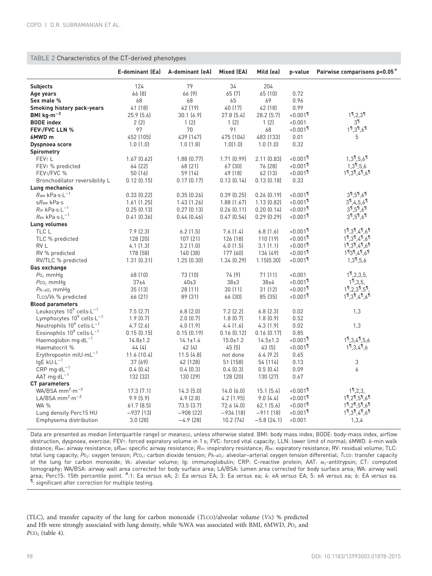# <span id="page-6-0"></span>TABLE 2 Characteristics of the CT-derived phenotypes

|                                                   | <b>E-dominant (Ea)</b> | A-dominant (eA) | Mixed (EA)     | Mild (ea)      | p-value                 | Pairwise comparisons p<0.05 <sup>#</sup>      |
|---------------------------------------------------|------------------------|-----------------|----------------|----------------|-------------------------|-----------------------------------------------|
| <b>Subjects</b>                                   | 124                    | 79              | 34             | 204            |                         |                                               |
| Age years                                         | 66 [8]                 | 66 [9]          | 65 (7)         | 65 (10)        | 0.72                    |                                               |
| Sex male %                                        | 68                     | 68              | 65             | 69             | 0.96                    |                                               |
| <b>Smoking history pack-years</b>                 | 41 (18)                | 42 (19)         | 40 (17)        | 42 (18)        | 0.99                    |                                               |
| BMI $kg \cdot m^{-2}$                             | 25.9(5.6)              | 30.1(6.9)       | 27.8(5.4)      | 28.2 (5.7)     | $0.001$ <sup>1</sup>    | $19$ , 2, $39$                                |
| <b>BODE</b> index                                 | 2(2)                   | 1(2)            | 1(2)           | 1(2)           | < 0.001                 | $3^{\frac{1}{1}}$                             |
| FEV1/FVC LLN %                                    | 97                     | 70              | 91             | 68             | $~10.001$ <sup>11</sup> | $11, 31, 61$                                  |
| 6MWD m                                            | 452 (105)              | 439 (147)       | 475 (104)      | 483 (133)      | 0.01                    | 5                                             |
| Dyspnoea score                                    | 1.0(1.0)               | 1.0(1.8)        | 1.0(1.0)       | 1.0(1.0)       | 0.32                    |                                               |
| <b>Spirometry</b>                                 |                        |                 |                |                |                         |                                               |
| FEV <sub>1</sub> L                                | 1.67(0.62)             | 1.88(0.77)      | 1.71(0.99)     | 2.11(0.83)     | $~10.001$ <sup>11</sup> | $1.3$ <sup>1</sup> .5.6 <sup>1</sup>          |
| FEV <sub>1</sub> % predicted                      | 64 (22)                | 68 (21)         | 67 (30)        | 76 (28)        | $0.001$ <sup>1</sup>    | $1,3^{11},5,6$                                |
| FEV1/FVC %                                        | 50 (16)                | 59 (14)         | 49 (18)        | 62 (13)        | $< 0.001$ <sup>1</sup>  | $19, 39, 49, 69$                              |
| Bronchodilator reversibility L                    | $0.12$ $(0.15)$        | 0.17(0.17)      | 0.13(0.14)     | 0.13(0.18)     | 0.33                    |                                               |
| Lung mechanics                                    |                        |                 |                |                |                         |                                               |
| $Raw$ kPa $\cdot$ s $\cdot$ L <sup>-1</sup>       | 0.33(0.22)             | 0.35(0.26)      | 0.39(0.25)     | 0.26(0.19)     | $0.001$ <sup>1</sup>    | $3^{1,5^{1},6^{1}}$                           |
| sRaw kPa.s                                        | 1.61(1.25)             | 1.43(1.26)      | 1.88(1.67)     | 1.13(0.82)     | $< 0.001$ <sup>1</sup>  | $3^{\frac{9}{1}}$ , 4, 5, 6 $^{\frac{9}{1}}$  |
| $R$ in kPa·s·L <sup>-1</sup>                      | 0.25(0.13)             | 0.27(0.13)      | 0.26(0.11)     | 0.20(0.14)     | $< 0.001$ <sup>1</sup>  | $3^{1,5^{1},6^{1}}$                           |
| $R$ ex kPa·s·L <sup>-1</sup>                      | $0.41$ $(0.36)$        | 0.44(0.46)      | 0.47(0.54)     | 0.29(0.29)     | $< 0.001$ <sup>1</sup>  | $3^{1,5^{1},6^{1}}$                           |
| Lung volumes                                      |                        |                 |                |                |                         |                                               |
| TLC L                                             | 7.9(2.3)               | $6.2$ $(1.5)$   | 7.6 (1.4)      | 6.8(1.6)       | $0.001$ <sup>1</sup>    | $11$ , $31$ , $41$ , $61$                     |
| TLC % predicted                                   | 128 (20)               | 107 (21)        | 126 (18)       | 110 (19)       | $< 0.001$ <sup>1</sup>  | $11$ , $31$ , $41$ , $61$                     |
| RV L                                              | 4.1(1.3)               | 3.2(1.0)        | $4.0$ $(1.5)$  | 3.1(1.1)       | $~10.001$ <sup>11</sup> | $11$ , $31$ , $41$ , $61$                     |
| RV % predicted                                    | 178 (58)               | 140 (38)        | 177 (60)       | 136 (49)       | $0.001$ <sup>1</sup>    | $11314161$                                    |
| RV/TLC % predicted                                | 1.31(0.31)             | 1.25(0.30)      | 1.34(0.29)     | 1.15(0.30)     | $< 0.001$ <sup>1</sup>  | $1,3^{11},5,6$                                |
| Gas exchange                                      |                        |                 |                |                |                         |                                               |
| $P_0$ <sub>2</sub> mmHq                           | 68 (10)                | 73 (10)         | 74 (9)         | 71 (11)        | < 0.001                 | $11$ , 2, 3, 5,                               |
| $P_{C0_2}$ mmHq                                   | $37\pm4$               | $40\pm3$        | $38\pm3$       | $38\pm4$       | $0.001$ <sup>1</sup>    | $11$ , 3, 5,                                  |
| $PA-a02$ mmHq                                     | 35 (13)                | 28 (11)         | 30 (11)        | 31 (12)        | $0.001$ <sup>1</sup>    | $19$ , $2,39$ , $59$ ,                        |
| TLCO/VA % predicted                               | 66 (21)                | 89 (31)         | 66 (30)        | 85 (35)        | $0.001$ <sup>1</sup>    | $11$ , $31$ , $41$ , $61$                     |
| <b>Blood parameters</b>                           |                        |                 |                |                |                         |                                               |
| Leukocytes $10^9$ cells $\cdot L^{-1}$            | 7.5(2.7)               | 6.8(2.0)        | 7.2(2.2)       | $6.8$ $(2.3)$  | 0.02                    | 1,3                                           |
| Lymphocytes $10^9$ cells $\cdot L^{-1}$           | 1.9(0.7)               | 2.0(0.7)        | 1.8(0.7)       | 1.8(0.9)       | 0.52                    |                                               |
| Neutrophils 10 <sup>9</sup> cells-L <sup>-1</sup> | 4.7(2.6)               | 4.0(1.9)        | 4.4(1.6)       | 4.3(1.9)       | 0.02                    | 1,3                                           |
| Eosinophils 10 <sup>9</sup> cells-L <sup>-1</sup> | 0.15(0.15)             | 0.15(0.19)      | 0.16(0.12)     | 0.16(0.17)     | 0.85                    |                                               |
| Haemoglobin mg $\cdot$ d $L^{-1}$                 | $14.8 \pm 1.2$         | $14.1 \pm 1.4$  | $15.0 \pm 1.2$ | $14.5 \pm 1.3$ | $10.001$ <sup>1</sup>   | 1 <sup>9</sup> , 3, 4 <sup>9</sup> , 5, 6     |
| Haematocrit %                                     | 44 (4)                 | 42(4)           | 45(5)          | 43 [5]         | $0.001$ <sup>1</sup>    | $1^{\frac{9}{1}}$ , 3, 4 $^{\frac{9}{1}}$ , 6 |
| Erythropoetin mIU·mL <sup>-1</sup>                | 11.6 (10.4)            | 11.5(4.8)       | not done       | 6.4(9.2)       | 0.65                    |                                               |
| $lgE$ kU $\cdot L^{-1}$                           | 37 (69)                | 42 (128)        | 51 (158)       | 54 (114)       | 0.13                    | 3                                             |
| $CRP$ mg·d $L^{-1}$                               | 0.4(0.4)               | 0.4(0.3)        | 0.4(0.3)       | 0.5(0.4)       | 0.09                    | 6                                             |
| AAT $mq \cdot dL^{-1}$                            | 132 (32)               | 130 (29)        | 128(20)        | 130 (27)       | 0.67                    |                                               |
| CT parameters                                     |                        |                 |                |                |                         |                                               |
| $WA/BSA$ mm <sup>2</sup> ·m <sup>-2</sup>         | 17.3(7.1)              | 14.3(5.0)       | 14.0(6.0)      | 15.1(5.4)      | $0.001$ <sup>1</sup>    | $11$ , 2, 3,                                  |
| LA/BSA $mm^2\cdot m^{-2}$                         | 9.9 (5.9)              | 4.9(2.8)        | 4.2 (1.95)     | 9.0(4.4)       | $< 0.001$ <sup>11</sup> | $11$ , $21$ , $51$ , $61$                     |
| <b>WA %</b>                                       | $61.7$ $(8.5)$         | 73.5(3.7)       | 72.6(4.0)      | $62.1$ $(5.6)$ | $~10.001$ <sup>11</sup> | $11$ , $21$ , $51$ , $61$                     |
| Lung density Perc15 HU                            | $-937(13)$             | $-908(22)$      | $-934(18)$     | $-911(18)$     | $< 0.001$ <sup>1</sup>  | $11$ , $31$ , $41$ , $61$                     |
| Emphysema distribution                            | 3.0(28)                | $-4.9$ (28)     | 10.2 (74)      | $-5.8$ (24.1)  | < 0.001                 | 1,3,4                                         |

Data are presented as median (interquartile range) or mean±sp, unless otherwise stated. BMI: body mass index; BODE: body-mass index, airflow obstruction, dyspnoea, exercise; FEV1: forced expiratory volume in 1 s; FVC: forced vital capacity; LLN: lower limit of normal; 6MWD: 6-min walk distance; Raw: airway resistance; sRaw: specific airway resistance; Rin: inspiratory resistance; Rex: expiratory resistance; RV: residual volume; TLC: total lung capacity; Po<sub>2</sub>: oxygen tension; Pco<sub>2</sub>: carbon dioxide tension; PA-ao<sub>2</sub>: alveolar-arterial oxygen tension differential; TLCO: transfer capacity of the lung for carbon monoxide; VA: alveolar volume; Ig: immunoglobulin; CRP: C-reactive protein; AAT: α1-antitrypsin; CT: computed tomography; WA/BSA: airway wall area corrected for body surface area; LA/BSA: lumen area corrected for body surface area; WA: airway wall area; Perc15: 15th percentile point. #:1: Ea versus eA; 2: Ea versus EA; 3: Ea versus ea; 4: eA versus EA; 5: eA versus ea; 6: EA versus ea.<br>』 cignificant after cerrection for multiple tection  $\mathbb{I}$ : significant after correction for multiple testing.

(TLC), and transfer capacity of the lung for carbon monoxide (TLCO)/alveolar volume (VA) % predicted and Hb were strongly associated with lung density, while %WA was associated with BMI, 6MWD, PO2 and  $PCO<sub>2</sub>$  ([table 4\)](#page-8-0).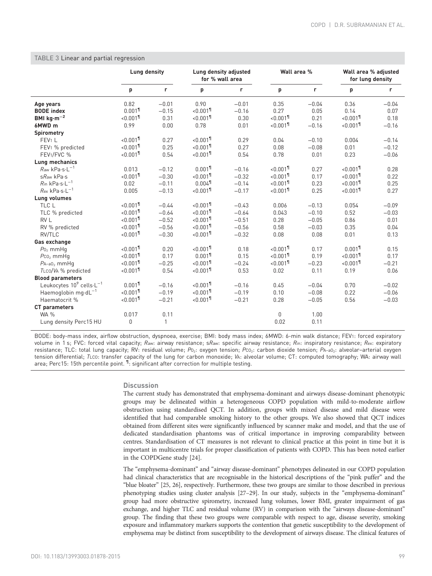|                                                  | <b>Lung density</b>     |              |                         | Lung density adjusted<br>for % wall area |                         | Wall area % |                         | Wall area % adjusted<br>for lung density |  |
|--------------------------------------------------|-------------------------|--------------|-------------------------|------------------------------------------|-------------------------|-------------|-------------------------|------------------------------------------|--|
|                                                  | р                       | r            | p                       | r                                        | p                       | r.          | p                       | r                                        |  |
| Age years                                        | 0.82                    | $-0.01$      | 0.90                    | $-0.01$                                  | 0.35                    | $-0.04$     | 0.36                    | $-0.04$                                  |  |
| <b>BODE</b> index                                | $0.001$ <sup>1</sup>    | $-0.15$      | $< 0.001$ <sup>1</sup>  | $-0.16$                                  | 0.27                    | 0.05        | 0.14                    | 0.07                                     |  |
| BMI $kg·m-2$                                     | $< 0.001$ <sup>1</sup>  | 0.31         | $< 0.001$ <sup>1</sup>  | 0.30                                     | $< 0.001$ <sup>1</sup>  | 0.21        | $< 0.001$ <sup>1</sup>  | 0.18                                     |  |
| 6MWD m                                           | 0.99                    | 0.00         | 0.78                    | 0.01                                     | $< 0.001$ <sup>1</sup>  | $-0.16$     | $< 0.001$ <sup>1</sup>  | $-0.16$                                  |  |
| <b>Spirometry</b>                                |                         |              |                         |                                          |                         |             |                         |                                          |  |
| FEV <sub>1</sub> L                               | $< 0.001$ <sup>1</sup>  | 0.27         | $< 0.001$ <sup>1</sup>  | 0.29                                     | 0.04                    | $-0.10$     | 0.004                   | $-0.14$                                  |  |
| FEV1 % predicted                                 | $< 0.001$ <sup>1</sup>  | 0.25         | $< 0.001$ <sup>11</sup> | 0.27                                     | 0.08                    | $-0.08$     | 0.01                    | $-0.12$                                  |  |
| FEV <sub>1</sub> /FVC %                          | $< 0.001$ <sup>1</sup>  | 0.54         | $< 0.001$ <sup>1</sup>  | 0.54                                     | 0.78                    | 0.01        | 0.23                    | $-0.06$                                  |  |
| Lung mechanics                                   |                         |              |                         |                                          |                         |             |                         |                                          |  |
| $Raw$ kPa $\cdot$ s $\cdot$ L <sup>-1</sup>      | 0.013                   | $-0.12$      | $0.001$ <sup>1</sup>    | $-0.16$                                  | $< 0.001$ <sup>11</sup> | 0.27        | $< 0.001$ <sup>11</sup> | 0.28                                     |  |
| sRaw kPa.s                                       | $< 0.001$ <sup>1</sup>  | $-0.30$      | $< 0.001$ <sup>1</sup>  | $-0.32$                                  | $< 0.001$ <sup>1</sup>  | 0.17        | $< 0.001$ <sup>1</sup>  | 0.22                                     |  |
| $R$ in kPa·s·L <sup>-1</sup>                     | 0.02                    | $-0.11$      | $0.004$ <sup>11</sup>   | $-0.14$                                  | $< 0.001$ <sup>1</sup>  | 0.23        | $< 0.001$ <sup>1</sup>  | 0.25                                     |  |
| $R$ ex kPa·s·L <sup>-1</sup>                     | 0.005                   | $-0.13$      | $< 0.001$ <sup>1</sup>  | $-0.17$                                  | $< 0.001$ <sup>1</sup>  | 0.25        | $< 0.001$ <sup>1</sup>  | 0.27                                     |  |
| <b>Lung volumes</b>                              |                         |              |                         |                                          |                         |             |                         |                                          |  |
| TLC L                                            | $< 0.001$ <sup>1</sup>  | $-0.44$      | $< 0.001$ <sup>1</sup>  | $-0.43$                                  | 0.006                   | $-0.13$     | 0.054                   | $-0.09$                                  |  |
| TLC % predicted                                  | $< 0.001$ <sup>1</sup>  | $-0.64$      | $~10.001$ <sup>11</sup> | $-0.64$                                  | 0.043                   | $-0.10$     | 0.52                    | $-0.03$                                  |  |
| RV L                                             | $< 0.001$ <sup>1</sup>  | $-0.52$      | $< 0.001$ <sup>1</sup>  | $-0.51$                                  | 0.28                    | $-0.05$     | 0.86                    | 0.01                                     |  |
| RV % predicted                                   | $< 0.001$ <sup>1</sup>  | $-0.56$      | $< 0.001$ <sup>1</sup>  | $-0.56$                                  | 0.58                    | $-0.03$     | 0.35                    | 0.04                                     |  |
| RV/TLC                                           | $< 0.001$ <sup>1</sup>  | $-0.30$      | $0.001$ <sup>1</sup>    | $-0.32$                                  | 0.08                    | 0.08        | 0.01                    | 0.13                                     |  |
| Gas exchange                                     |                         |              |                         |                                          |                         |             |                         |                                          |  |
| $P_0$ <sub>2</sub> mmHq                          | $< 0.001$ <sup>1</sup>  | 0.20         | $< 0.001$ <sup>1</sup>  | 0.18                                     | $< 0.001$ <sup>1</sup>  | 0.17        | $0.001$ <sup>1</sup>    | 0.15                                     |  |
| $P_{C02}$ mmHq                                   | $0.001$ <sup>1</sup>    | 0.17         | $0.001$ <sup>1</sup>    | 0.15                                     | $< 0.001$ <sup>1</sup>  | 0.19        | $< 0.001$ <sup>1</sup>  | 0.17                                     |  |
| $PA$ -a0 <sub>2</sub> mmHq                       | $< 0.001$ <sup>1</sup>  | $-0.25$      | $< 0.001$ <sup>1</sup>  | $-0.24$                                  | $< 0.001$ <sup>1</sup>  | $-0.23$     | $< 0.001$ <sup>1</sup>  | $-0.21$                                  |  |
| TLCO/VA % predicted                              | $< 0.001$ <sup>1</sup>  | 0.54         | $< 0.001$ <sup>1</sup>  | 0.53                                     | 0.02                    | 0.11        | 0.19                    | 0.06                                     |  |
| <b>Blood parameters</b>                          |                         |              |                         |                                          |                         |             |                         |                                          |  |
| Leukocytes 10 <sup>9</sup> cells-L <sup>-1</sup> | $0.001$ <sup>1</sup>    | $-0.16$      | $~10.001$ <sup>11</sup> | $-0.16$                                  | 0.45                    | $-0.04$     | 0.70                    | $-0.02$                                  |  |
| Haemoglobin mg·d $L^{-1}$                        | $< 0.001$ <sup>1</sup>  | $-0.19$      | $< 0.001$ <sup>1</sup>  | $-0.19$                                  | 0.10                    | $-0.08$     | 0.22                    | $-0.06$                                  |  |
| Haematocrit %                                    | $< 0.001$ <sup>11</sup> | $-0.21$      | $< 0.001$ <sup>1</sup>  | $-0.21$                                  | 0.28                    | $-0.05$     | 0.56                    | $-0.03$                                  |  |
| CT parameters                                    |                         |              |                         |                                          |                         |             |                         |                                          |  |
| <b>WA %</b>                                      | 0.017                   | 0.11         |                         |                                          | $\Omega$                | 1.00        |                         |                                          |  |
| Lung density Perc15 HU                           | 0                       | $\mathbf{1}$ |                         |                                          | 0.02                    | 0.11        |                         |                                          |  |

# <span id="page-7-0"></span>TABLE 3 Linear and partial regression

BODE: body-mass index, airflow obstruction, dyspnoea, exercise; BMI: body mass index; 6MWD: 6-min walk distance; FEV1: forced expiratory volume in 1 s; FVC: forced vital capacity; Raw: airway resistance; sRaw: specific airway resistance; Rin: inspiratory resistance; Rex: expiratory resistance; TLC: total lung capacity; RV: residual volume; Po2: oxygen tension; Pco2: carbon dioxide tension; PA-a02: alveolar-arterial oxygen tension differential; TLCO: transfer capacity of the lung for carbon monoxide; VA: alveolar volume; CT: computed tomography; WA: airway wall area; Perc15: 15th percentile point. <sup>1</sup>: significant after correction for multiple testing.

# **Discussion**

The current study has demonstrated that emphysema-dominant and airways disease-dominant phenotypic groups may be delineated within a heterogeneous COPD population with mild-to-moderate airflow obstruction using standardised QCT. In addition, groups with mixed disease and mild disease were identified that had comparable smoking history to the other groups. We also showed that QCT indices obtained from different sites were significantly influenced by scanner make and model, and that the use of dedicated standardisation phantoms was of critical importance in improving comparability between centres. Standardisation of CT measures is not relevant to clinical practice at this point in time but it is important in multicentre trials for proper classification of patients with COPD. This has been noted earlier in the COPDGene study [\[24](#page-11-0)].

The "emphysema-dominant" and "airway disease-dominant" phenotypes delineated in our COPD population had clinical characteristics that are recognisable in the historical descriptions of the "pink puffer" and the "blue bloater" [[25](#page-11-0), [26](#page-11-0)], respectively. Furthermore, these two groups are similar to those described in previous phenotyping studies using cluster analysis [[27](#page-11-0)–[29](#page-11-0)]. In our study, subjects in the "emphysema-dominant" group had more obstructive spirometry, increased lung volumes, lower BMI, greater impairment of gas exchange, and higher TLC and residual volume (RV) in comparison with the "airways disease-dominant" group. The finding that these two groups were comparable with respect to age, disease severity, smoking exposure and inflammatory markers supports the contention that genetic susceptibility to the development of emphysema may be distinct from susceptibility to the development of airways disease. The clinical features of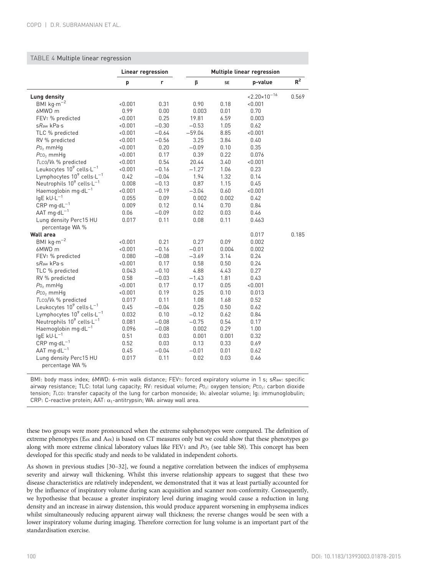# <span id="page-8-0"></span>TABLE 4 Multiple linear regression

|                                                   | Linear regression |         | <b>Multiple linear regression</b> |       |                          |       |  |
|---------------------------------------------------|-------------------|---------|-----------------------------------|-------|--------------------------|-------|--|
|                                                   | p                 | r       | β                                 | SE    | p-value                  | $R^2$ |  |
| <b>Lung density</b>                               |                   |         |                                   |       | $< 2.20 \times 10^{-16}$ | 0.569 |  |
| BMI $kg·m-2$                                      | < 0.001           | 0.31    | 0.90                              | 0.18  | < 0.001                  |       |  |
| 6MWD m                                            | 0.99              | 0.00    | 0.003                             | 0.01  | 0.70                     |       |  |
| FEV <sub>1</sub> % predicted                      | < 0.001           | 0.25    | 19.81                             | 6.59  | 0.003                    |       |  |
| sRaw kPa.s                                        | < 0.001           | $-0.30$ | $-0.53$                           | 1.05  | 0.62                     |       |  |
| TLC % predicted                                   | < 0.001           | $-0.64$ | $-59.04$                          | 8.85  | < 0.001                  |       |  |
| RV % predicted                                    | < 0.001           | $-0.56$ | 3.25                              | 3.84  | 0.40                     |       |  |
| $P_0$ <sub>2</sub> mmHq                           | < 0.001           | 0.20    | $-0.09$                           | 0.10  | 0.35                     |       |  |
| $P_{C_2}$ mmHg                                    | < 0.001           | 0.17    | 0.39                              | 0.22  | 0.076                    |       |  |
| TLCO/VA % predicted                               | < 0.001           | 0.54    | 20.44                             | 3.40  | < 0.001                  |       |  |
| Leukocytes 10 <sup>9</sup> cells-L <sup>-1</sup>  | < 0.001           | $-0.16$ | $-1.27$                           | 1.06  | 0.23                     |       |  |
| Lymphocytes $10^9$ cells $\cdot L^{-1}$           | 0.42              | $-0.04$ | 1.94                              | 1.32  | 0.14                     |       |  |
| Neutrophils 10 <sup>9</sup> cells-L <sup>-1</sup> | 0.008             | $-0.13$ | 0.87                              | 1.15  | 0.45                     |       |  |
| Haemoglobin mg·d $L^{-1}$                         | < 0.001           | $-0.19$ | $-3.04$                           | 0.60  | < 0.001                  |       |  |
| $lgE$ kU $\cdot L^{-1}$                           | 0.055             | 0.09    | 0.002                             | 0.002 | 0.42                     |       |  |
| $CRP$ mg·d $L^{-1}$                               | 0.009             | 0.12    | 0.14                              | 0.70  | 0.84                     |       |  |
| AAT mg·d $L^{-1}$                                 | 0.06              | $-0.09$ | 0.02                              | 0.03  | 0.46                     |       |  |
| Lung density Perc15 HU                            | 0.017             | 0.11    | 0.08                              | 0.11  | 0.463                    |       |  |
| percentage WA %                                   |                   |         |                                   |       |                          |       |  |
| <b>Wall area</b>                                  |                   |         |                                   |       | 0.017                    | 0.185 |  |
| BMI $kg·m-2$                                      | < 0.001           | 0.21    | 0.27                              | 0.09  | 0.002                    |       |  |
| 6MWD m                                            | < 0.001           | $-0.16$ | $-0.01$                           | 0.004 | 0.002                    |       |  |
| FEV <sub>1</sub> % predicted                      | 0.080             | $-0.08$ | $-3.69$                           | 3.14  | 0.24                     |       |  |
| sRaw kPa.s                                        | < 0.001           | 0.17    | 0.58                              | 0.50  | 0.24                     |       |  |
| TLC % predicted                                   | 0.043             | $-0.10$ | 4.88                              | 4.43  | 0.27                     |       |  |
| RV % predicted                                    | 0.58              | $-0.03$ | $-1.43$                           | 1.81  | 0.43                     |       |  |
| $P_{{0}_2}$ mmHq                                  | < 0.001           | 0.17    | 0.17                              | 0.05  | < 0.001                  |       |  |
| $P_{C_2}$ mmHg                                    | < 0.001           | 0.19    | 0.25                              | 0.10  | 0.013                    |       |  |
| TLCO/VA % predicted                               | 0.017             | 0.11    | 1.08                              | 1.68  | 0.52                     |       |  |
| Leukocytes $10^9$ cells $\cdot L^{-1}$            | 0.45              | $-0.04$ | 0.25                              | 0.50  | 0.62                     |       |  |
| Lymphocytes 109 cells-L <sup>-1</sup>             | 0.032             | 0.10    | $-0.12$                           | 0.62  | 0.84                     |       |  |
| Neutrophils $10^9$ cells $\cdot L^{-1}$           | 0.081             | $-0.08$ | $-0.75$                           | 0.54  | 0.17                     |       |  |
| Haemoglobin mg·d $L^{-1}$                         | 0.096             | $-0.08$ | 0.002                             | 0.29  | 1.00                     |       |  |
| $lgE$ kU $\cdot$ L <sup>-1</sup>                  | 0.51              | 0.03    | 0.001                             | 0.001 | 0.32                     |       |  |
| CRP mg $\cdot$ d $L^{-1}$                         | 0.52              | 0.03    | 0.13                              | 0.33  | 0.69                     |       |  |
| AAT $mg \cdot dL^{-1}$                            | 0.45              | $-0.04$ | $-0.01$                           | 0.01  | 0.62                     |       |  |
| Lung density Perc15 HU                            | 0.017             | 0.11    | 0.02                              | 0.03  | 0.46                     |       |  |
| percentage WA %                                   |                   |         |                                   |       |                          |       |  |

BMI: body mass index; 6MWD: 6-min walk distance; FEV1: forced expiratory volume in 1 s; sRaw: specific airway resistance; TLC: total lung capacity; RV: residual volume; Po<sub>2</sub>: oxygen tension; Pco<sub>2</sub>: carbon dioxide tension; TLCO: transfer capacity of the lung for carbon monoxide; VA: alveolar volume; Ig: immunoglobulin; CRP: C-reactive protein; AAT:  $\alpha_1$ -antitrypsin; WA: airway wall area.

these two groups were more pronounced when the extreme subphenotypes were compared. The definition of extreme phenotypes (Eex and Aex) is based on CT measures only but we could show that these phenotypes go along with more extreme clinical laboratory values like FEV1 and  $PO<sub>2</sub>$  (see table S8). This concept has been developed for this specific study and needs to be validated in independent cohorts.

As shown in previous studies [[30](#page-11-0)–[32\]](#page-11-0), we found a negative correlation between the indices of emphysema severity and airway wall thickening. Whilst this inverse relationship appears to suggest that these two disease characteristics are relatively independent, we demonstrated that it was at least partially accounted for by the influence of inspiratory volume during scan acquisition and scanner non-conformity. Consequently, we hypothesise that because a greater inspiratory level during imaging would cause a reduction in lung density and an increase in airway distension, this would produce apparent worsening in emphysema indices whilst simultaneously reducing apparent airway wall thickness; the reverse changes would be seen with a lower inspiratory volume during imaging. Therefore correction for lung volume is an important part of the standardisation exercise.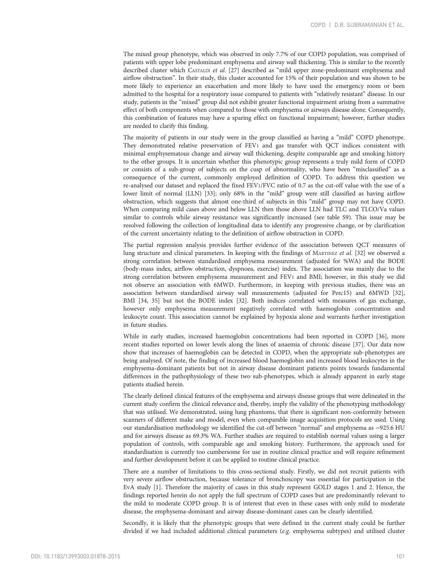The mixed group phenotype, which was observed in only 7.7% of our COPD population, was comprised of patients with upper lobe predominant emphysema and airway wall thickening. This is similar to the recently described cluster which CASTALDI et al. [\[27\]](#page-11-0) described as "mild upper zone-predominant emphysema and airflow obstruction". In their study, this cluster accounted for 15% of their population and was shown to be more likely to experience an exacerbation and more likely to have used the emergency room or been admitted to the hospital for a respiratory issue compared to patients with "relatively resistant" disease. In our study, patients in the "mixed" group did not exhibit greater functional impairment arising from a summative effect of both components when compared to those with emphysema or airways disease alone. Consequently, this combination of features may have a sparing effect on functional impairment; however, further studies are needed to clarify this finding.

The majority of patients in our study were in the group classified as having a "mild" COPD phenotype. They demonstrated relative preservation of FEV1 and gas transfer with QCT indices consistent with minimal emphysematous change and airway wall thickening, despite comparable age and smoking history to the other groups. It is uncertain whether this phenotypic group represents a truly mild form of COPD or consists of a sub-group of subjects on the cusp of abnormality, who have been "misclassified" as a consequence of the current, commonly employed definition of COPD. To address this question we re-analysed our dataset and replaced the fixed FEV1/FVC ratio of 0.7 as the cut-off value with the use of a lower limit of normal (LLN) [\[33\]](#page-11-0); only 68% in the "mild" group were still classified as having airflow obstruction, which suggests that almost one-third of subjects in this "mild" group may not have COPD. When comparing mild cases above and below LLN then those above LLN had TLC and TLCO/Va values similar to controls while airway resistance was significantly increased (see table S9). This issue may be resolved following the collection of longitudinal data to identify any progressive change, or by clarification of the current uncertainty relating to the definition of airflow obstruction in COPD.

The partial regression analysis provides further evidence of the association between QCT measures of lung structure and clinical parameters. In keeping with the findings of MARTINEZ et al. [\[32\]](#page-11-0) we observed a strong correlation between standardised emphysema measurement (adjusted for %WA) and the BODE (body-mass index, airflow obstruction, dyspnoea, exercise) index. The association was mainly due to the strong correlation between emphysema measurement and FEV1 and BMI; however, in this study we did not observe an association with 6MWD. Furthermore, in keeping with previous studies, there was an association between standardised airway wall measurements (adjusted for Perc15) and 6MWD [[32](#page-11-0)], BMI [[34](#page-11-0), [35\]](#page-11-0) but not the BODE index [[32](#page-11-0)]. Both indices correlated with measures of gas exchange, however only emphysema measurement negatively correlated with haemoglobin concentration and leukocyte count. This association cannot be explained by hypoxia alone and warrants further investigation in future studies.

While in early studies, increased haemoglobin concentrations had been reported in COPD [[36](#page-11-0)], more recent studies reported on lower levels along the lines of anaemia of chronic disease [[37](#page-11-0)]. Our data now show that increases of haemoglobin can be detected in COPD, when the appropriate sub-phenotypes are being analysed. Of note, the finding of increased blood haemoglobin and increased blood leukocytes in the emphysema-dominant patients but not in airway disease dominant patients points towards fundamental differences in the pathophysiology of these two sub-phenotypes, which is already apparent in early stage patients studied herein.

The clearly defined clinical features of the emphysema and airways disease groups that were delineated in the current study confirm the clinical relevance and, thereby, imply the validity of the phenotyping methodology that was utilised. We demonstrated, using lung phantoms, that there is significant non-conformity between scanners of different make and model, even when comparable image acquisition protocols are used. Using our standardisation methodology we identified the cut-off between "normal" and emphysema as −925.6 HU and for airways disease as 69.3% WA. Further studies are required to establish normal values using a larger population of controls, with comparable age and smoking history. Furthermore, the approach used for standardisation is currently too cumbersome for use in routine clinical practice and will require refinement and further development before it can be applied to routine clinical practice.

There are a number of limitations to this cross-sectional study. Firstly, we did not recruit patients with very severe airflow obstruction, because tolerance of bronchoscopy was essential for participation in the EvA study [[1\]](#page-10-0). Therefore the majority of cases in this study represent GOLD stages 1 and 2. Hence, the findings reported herein do not apply the full spectrum of COPD cases but are predominantly relevant to the mild to moderate COPD group. It is of interest that even in these cases with only mild to moderate disease, the emphysema-dominant and airway disease-dominant cases can be clearly identified.

Secondly, it is likely that the phenotypic groups that were defined in the current study could be further divided if we had included additional clinical parameters (e.g. emphysema subtypes) and utilised cluster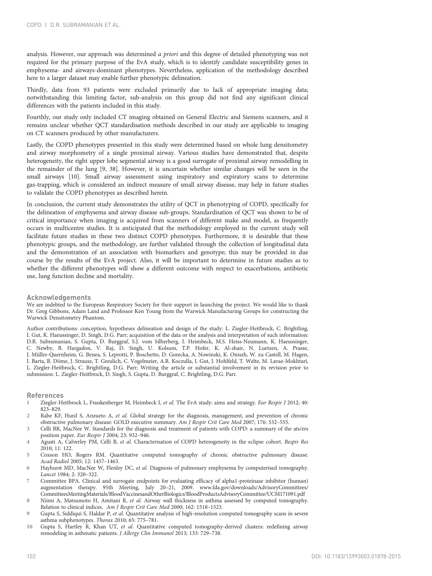<span id="page-10-0"></span>analysis. However, our approach was determined a priori and this degree of detailed phenotyping was not required for the primary purpose of the EvA study, which is to identify candidate susceptibility genes in emphysema- and airways-dominant phenotypes. Nevertheless, application of the methodology described here to a larger dataset may enable further phenotypic delineation.

Thirdly, data from 93 patients were excluded primarily due to lack of appropriate imaging data; notwithstanding this limiting factor, sub-analysis on this group did not find any significant clinical differences with the patients included in this study.

Fourthly, our study only included CT imaging obtained on General Electric and Siemens scanners, and it remains unclear whether QCT standardisation methods described in our study are applicable to imaging on CT scanners produced by other manufacturers.

Lastly, the COPD phenotypes presented in this study were determined based on whole lung densitometry and airway morphometry of a single proximal airway. Various studies have demonstrated that, despite heterogeneity, the right upper lobe segmental airway is a good surrogate of proximal airway remodelling in the remainder of the lung [9, [38](#page-11-0)]. However, it is uncertain whether similar changes will be seen in the small airways [10]. Small airway assessment using inspiratory and expiratory scans to determine gas-trapping, which is considered an indirect measure of small airway disease, may help in future studies to validate the COPD phenotypes as described herein.

In conclusion, the current study demonstrates the utility of QCT in phenotyping of COPD, specifically for the delineation of emphysema and airway disease sub-groups. Standardisation of QCT was shown to be of critical importance when imaging is acquired from scanners of different make and model, as frequently occurs in multicentre studies. It is anticipated that the methodology employed in the current study will facilitate future studies in these two distinct COPD phenotypes. Furthermore, it is desirable that these phenotypic groups, and the methodology, are further validated through the collection of longitudinal data and the demonstration of an association with biomarkers and genotype; this may be provided in due course by the results of the EvA project. Also, it will be important to determine in future studies as to whether the different phenotypes will show a different outcome with respect to exacerbations, antibiotic use, lung function decline and mortality.

#### Acknowledgements

We are indebted to the European Respiratory Society for their support in launching the project. We would like to thank Dr. Greg Gibbons, Adam Land and Professor Ken Young from the Warwick Manufacturing Groups for constructing the Warwick Densitometry Phantom.

Author contributions: conception, hypotheses delineation and design of the study: L. Ziegler-Heitbrock, C. Brightling, I. Gut, K. Haeussinger, D. Singh, D.G. Parr; acquisition of the data or the analysis and interpretation of such information: D.R. Subramanian, S. Gupta, D. Burggraf, S.J. vom Silberberg, I. Heimbeck, M.S. Heiss-Neumann, K. Haeussinger, C. Newby, B. Hargadon, V. Raj, D. Singh, U. Kolsum, T.P. Hofer, K. Al-shair, N. Luetzen, A. Prasse, J. Müller-Quernheim, G. Benea, S. Leprotti, P. Boschetto, D. Gorecka, A. Nowinski, K. Oniszh, W. zu Castell, M. Hagen, I. Barta, B. Döme, J. Strausz, T. Greulich, C. Vogelmeier, A.R. Koczulla, I. Gut, J. Hohlfeld, T. Welte, M. Lavae-Mokhtari, L. Ziegler-Heitbrock, C. Brightling, D.G. Parr; Writing the article or substantial involvement in its revision prior to submission: L. Ziegler-Heitbrock, D. Singh, S. Gupta, D. Burggraf, C. Brightling, D.G. Parr.

## References

- Ziegler-Heitbrock L, Frankenberger M, Heimbeck I, et al. The EvA study: aims and strategy. Eur Respir J 2012; 40: 823–829.
- Rabe KF, Hurd S, Anzueto A, et al. Global strategy for the diagnosis, management, and prevention of chronic obstructive pulmonary disease: GOLD executive summary. Am J Respir Crit Care Med 2007; 176: 532–555.
- 3 Celli BR, MacNee W. Standards for the diagnosis and treatment of patients with COPD: a summary of the ats/ers position paper. Eur Respir J 2004; 23: 932–946.
- Agusti A, Calverley PM, Celli B, et al. Characterisation of COPD heterogeneity in the eclipse cohort. Respir Res 2010; 11: 122.
- 5 Coxson HO, Rogers RM. Quantitative computed tomography of chronic obstructive pulmonary disease. Acad Radiol 2005; 12: 1457–1463.
- Hayhurst MD, MacNee W, Flenley DC, et al. Diagnosis of pulmonary emphysema by computerised tomography. Lancet 1984; 2: 320–322.
- 7 Committee BPA. Clinical and surrogate endpoints for evaluating efficacy of alpha1-proteinase inhibitor (human) augmentation therapy. 95th Meeting, July 20–21, 2009. [www.fda.gov/downloads/AdvisoryCommittees/](http://www.fda.gov/downloads/AdvisoryCommittees/CommitteesMeetingMaterials/BloodVaccinesandOtherBiologics/BloodProductsAdvisoryCommittee/UCM171091.pdf) [CommitteesMeetingMaterials/BloodVaccinesandOtherBiologics/BloodProductsAdvisoryCommittee/UCM171091.pdf](http://www.fda.gov/downloads/AdvisoryCommittees/CommitteesMeetingMaterials/BloodVaccinesandOtherBiologics/BloodProductsAdvisoryCommittee/UCM171091.pdf)
- 8 Niimi A, Matsumoto H, Amitani R, et al. Airway wall thickness in asthma assessed by computed tomography. Relation to clinical indices. Am J Respir Crit Care Med 2000; 162: 1518–1523.
- 9 Gupta S, Siddiqui S, Haldar P, et al. Quantitative analysis of high-resolution computed tomography scans in severe asthma subphenotypes. Thorax 2010; 65: 775–781.
- 10 Gupta S, Hartley R, Khan UT, et al. Quantitative computed tomography-derived clusters: redefining airway remodeling in asthmatic patients. J Allergy Clin Immunol 2013; 133: 729–738.